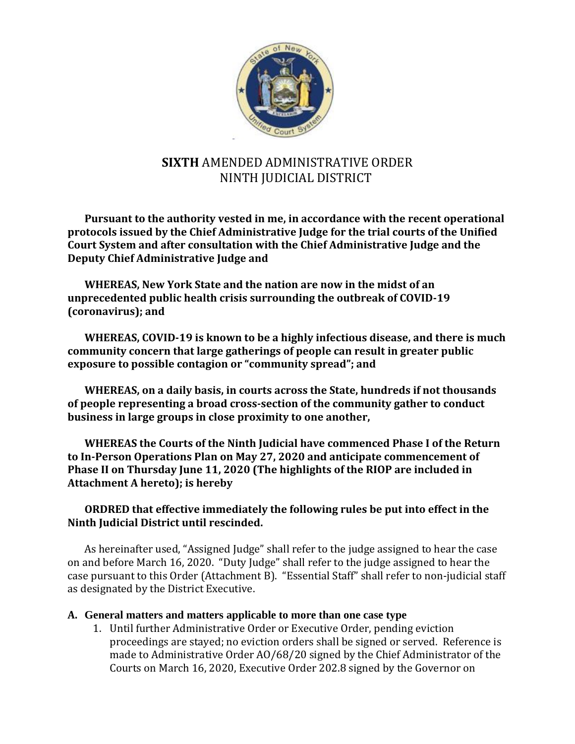

# **SIXTH** AMENDED ADMINISTRATIVE ORDER NINTH JUDICIAL DISTRICT

**Pursuant to the authority vested in me, in accordance with the recent operational protocols issued by the Chief Administrative Judge for the trial courts of the Unified Court System and after consultation with the Chief Administrative Judge and the Deputy Chief Administrative Judge and** 

**WHEREAS, New York State and the nation are now in the midst of an unprecedented public health crisis surrounding the outbreak of COVID-19 (coronavirus); and**

**WHEREAS, COVID-19 is known to be a highly infectious disease, and there is much community concern that large gatherings of people can result in greater public exposure to possible contagion or "community spread"; and**

**WHEREAS, on a daily basis, in courts across the State, hundreds if not thousands of people representing a broad cross-section of the community gather to conduct business in large groups in close proximity to one another,**

**WHEREAS the Courts of the Ninth Judicial have commenced Phase I of the Return to In-Person Operations Plan on May 27, 2020 and anticipate commencement of Phase II on Thursday June 11, 2020 (The highlights of the RIOP are included in Attachment A hereto); is hereby**

### **ORDRED that effective immediately the following rules be put into effect in the Ninth Judicial District until rescinded.**

As hereinafter used, "Assigned Judge" shall refer to the judge assigned to hear the case on and before March 16, 2020. "Duty Judge" shall refer to the judge assigned to hear the case pursuant to this Order (Attachment B). "Essential Staff" shall refer to non-judicial staff as designated by the District Executive.

### **A. General matters and matters applicable to more than one case type**

1. Until further Administrative Order or Executive Order, pending eviction proceedings are stayed; no eviction orders shall be signed or served. Reference is made to Administrative Order AO/68/20 signed by the Chief Administrator of the Courts on March 16, 2020, Executive Order 202.8 signed by the Governor on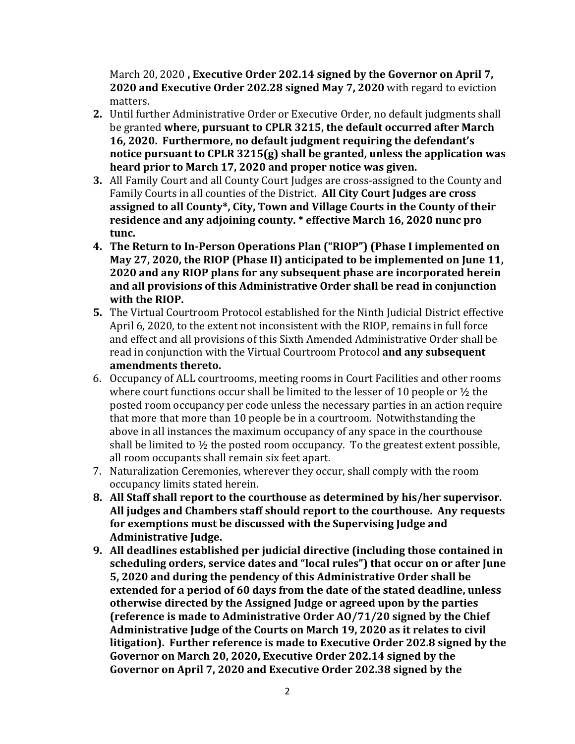March 20, 2020 **, Executive Order 202.14 signed by the Governor on April 7, 2020 and Executive Order 202.28 signed May 7, 2020** with regard to eviction matters.

- **2.** Until further Administrative Order or Executive Order, no default judgments shall be granted **where, pursuant to CPLR 3215, the default occurred after March 16, 2020. Furthermore, no default judgment requiring the defendant's notice pursuant to CPLR 3215(g) shall be granted, unless the application was heard prior to March 17, 2020 and proper notice was given.**
- **3.** All Family Court and all County Court Judges are cross-assigned to the County and Family Courts in all counties of the District. **All City Court Judges are cross assigned to all County\*, City, Town and Village Courts in the County of their residence and any adjoining county. \* effective March 16, 2020 nunc pro tunc.**
- **4. The Return to In-Person Operations Plan ("RIOP") (Phase I implemented on May 27, 2020, the RIOP (Phase II) anticipated to be implemented on June 11, 2020 and any RIOP plans for any subsequent phase are incorporated herein and all provisions of this Administrative Order shall be read in conjunction with the RIOP.**
- **5.** The Virtual Courtroom Protocol established for the Ninth Judicial District effective April 6, 2020, to the extent not inconsistent with the RIOP, remains in full force and effect and all provisions of this Sixth Amended Administrative Order shall be read in conjunction with the Virtual Courtroom Protocol **and any subsequent amendments thereto.**
- 6. Occupancy of ALL courtrooms, meeting rooms in Court Facilities and other rooms where court functions occur shall be limited to the lesser of 10 people or ½ the posted room occupancy per code unless the necessary parties in an action require that more that more than 10 people be in a courtroom. Notwithstanding the above in all instances the maximum occupancy of any space in the courthouse shall be limited to  $\frac{1}{2}$  the posted room occupancy. To the greatest extent possible, all room occupants shall remain six feet apart.
- 7. Naturalization Ceremonies, wherever they occur, shall comply with the room occupancy limits stated herein.
- **8. All Staff shall report to the courthouse as determined by his/her supervisor. All judges and Chambers staff should report to the courthouse. Any requests for exemptions must be discussed with the Supervising Judge and Administrative Judge.**
- **9. All deadlines established per judicial directive (including those contained in scheduling orders, service dates and "local rules") that occur on or after June 5, 2020 and during the pendency of this Administrative Order shall be extended for a period of 60 days from the date of the stated deadline, unless otherwise directed by the Assigned Judge or agreed upon by the parties (reference is made to Administrative Order AO/71/20 signed by the Chief Administrative Judge of the Courts on March 19, 2020 as it relates to civil litigation). Further reference is made to Executive Order 202.8 signed by the Governor on March 20, 2020, Executive Order 202.14 signed by the Governor on April 7, 2020 and Executive Order 202.38 signed by the**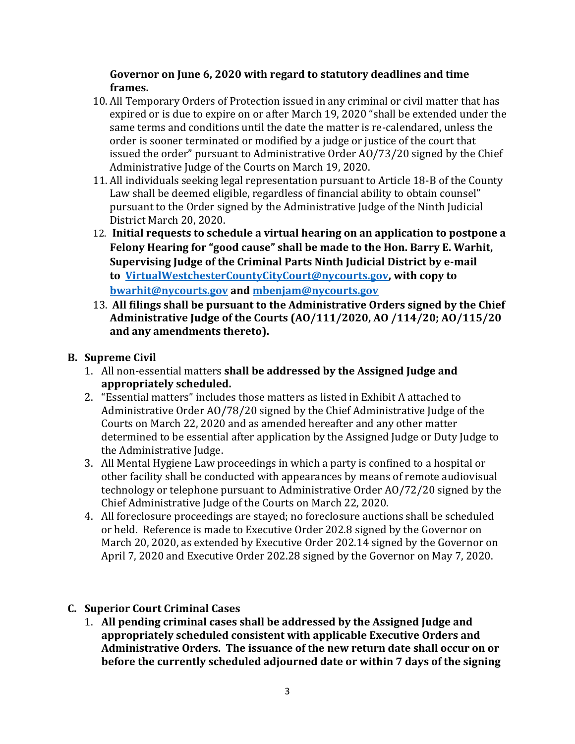### **Governor on June 6, 2020 with regard to statutory deadlines and time frames.**

- 10. All Temporary Orders of Protection issued in any criminal or civil matter that has expired or is due to expire on or after March 19, 2020 "shall be extended under the same terms and conditions until the date the matter is re-calendared, unless the order is sooner terminated or modified by a judge or justice of the court that issued the order" pursuant to Administrative Order AO/73/20 signed by the Chief Administrative Judge of the Courts on March 19, 2020.
- 11. All individuals seeking legal representation pursuant to Article 18-B of the County Law shall be deemed eligible, regardless of financial ability to obtain counsel" pursuant to the Order signed by the Administrative Judge of the Ninth Judicial District March 20, 2020.
- 12. **Initial requests to schedule a virtual hearing on an application to postpone a Felony Hearing for "good cause" shall be made to the Hon. Barry E. Warhit, Supervising Judge of the Criminal Parts Ninth Judicial District by e-mail to [VirtualWestchesterCountyCityCourt@nycourts.gov,](mailto:VirtualWestchesterCountyCityCourt@nycourts.gov) with copy to [bwarhit@nycourts.gov](mailto:bwarhit@nycourts.gov) and [mbenjam@nycourts.gov](mailto:mbenjam@nycourts.gov)**
- 13. **All filings shall be pursuant to the Administrative Orders signed by the Chief Administrative Judge of the Courts (AO/111/2020, AO /114/20; AO/115/20 and any amendments thereto).**

### **B. Supreme Civil**

- 1. All non-essential matters **shall be addressed by the Assigned Judge and appropriately scheduled.**
- 2. "Essential matters" includes those matters as listed in Exhibit A attached to Administrative Order AO/78/20 signed by the Chief Administrative Judge of the Courts on March 22, 2020 and as amended hereafter and any other matter determined to be essential after application by the Assigned Judge or Duty Judge to the Administrative Judge.
- 3. All Mental Hygiene Law proceedings in which a party is confined to a hospital or other facility shall be conducted with appearances by means of remote audiovisual technology or telephone pursuant to Administrative Order AO/72/20 signed by the Chief Administrative Judge of the Courts on March 22, 2020.
- 4. All foreclosure proceedings are stayed; no foreclosure auctions shall be scheduled or held. Reference is made to Executive Order 202.8 signed by the Governor on March 20, 2020, as extended by Executive Order 202.14 signed by the Governor on April 7, 2020 and Executive Order 202.28 signed by the Governor on May 7, 2020.

### **C. Superior Court Criminal Cases**

1. **All pending criminal cases shall be addressed by the Assigned Judge and appropriately scheduled consistent with applicable Executive Orders and Administrative Orders. The issuance of the new return date shall occur on or before the currently scheduled adjourned date or within 7 days of the signing**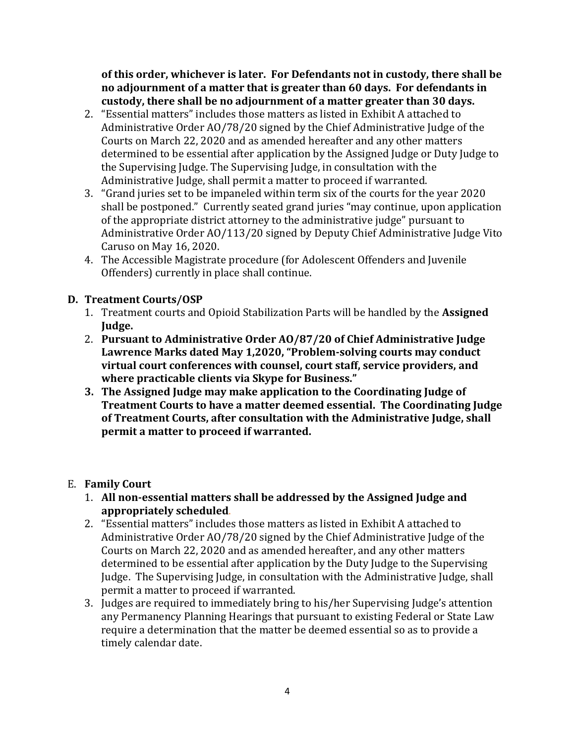**of this order, whichever is later. For Defendants not in custody, there shall be no adjournment of a matter that is greater than 60 days. For defendants in custody, there shall be no adjournment of a matter greater than 30 days.**

- 2. "Essential matters" includes those matters as listed in Exhibit A attached to Administrative Order AO/78/20 signed by the Chief Administrative Judge of the Courts on March 22, 2020 and as amended hereafter and any other matters determined to be essential after application by the Assigned Judge or Duty Judge to the Supervising Judge. The Supervising Judge, in consultation with the Administrative Judge, shall permit a matter to proceed if warranted.
- 3. "Grand juries set to be impaneled within term six of the courts for the year 2020 shall be postponed." Currently seated grand juries "may continue, upon application of the appropriate district attorney to the administrative judge" pursuant to Administrative Order AO/113/20 signed by Deputy Chief Administrative Judge Vito Caruso on May 16, 2020.
- 4. The Accessible Magistrate procedure (for Adolescent Offenders and Juvenile Offenders) currently in place shall continue.

## **D. Treatment Courts/OSP**

- 1. Treatment courts and Opioid Stabilization Parts will be handled by the **Assigned Judge.**
- 2. **Pursuant to Administrative Order AO/87/20 of Chief Administrative Judge Lawrence Marks dated May 1,2020, "Problem-solving courts may conduct virtual court conferences with counsel, court staff, service providers, and where practicable clients via Skype for Business."**
- **3. The Assigned Judge may make application to the Coordinating Judge of Treatment Courts to have a matter deemed essential. The Coordinating Judge of Treatment Courts, after consultation with the Administrative Judge, shall permit a matter to proceed if warranted.**

# E. **Family Court**

- 1. **All non-essential matters shall be addressed by the Assigned Judge and appropriately scheduled**.
- 2. "Essential matters" includes those matters as listed in Exhibit A attached to Administrative Order AO/78/20 signed by the Chief Administrative Judge of the Courts on March 22, 2020 and as amended hereafter, and any other matters determined to be essential after application by the Duty Judge to the Supervising Judge. The Supervising Judge, in consultation with the Administrative Judge, shall permit a matter to proceed if warranted.
- 3. Judges are required to immediately bring to his/her Supervising Judge's attention any Permanency Planning Hearings that pursuant to existing Federal or State Law require a determination that the matter be deemed essential so as to provide a timely calendar date.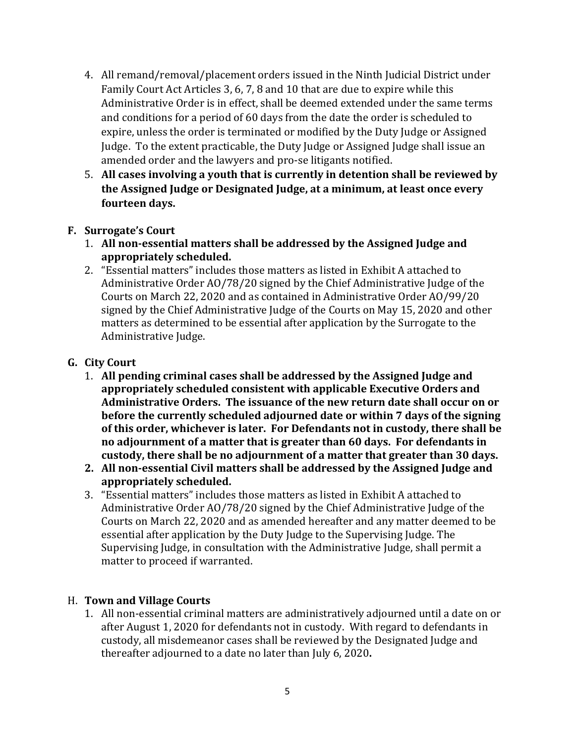- 4. All remand/removal/placement orders issued in the Ninth Judicial District under Family Court Act Articles 3, 6, 7, 8 and 10 that are due to expire while this Administrative Order is in effect, shall be deemed extended under the same terms and conditions for a period of 60 days from the date the order is scheduled to expire, unless the order is terminated or modified by the Duty Judge or Assigned Judge. To the extent practicable, the Duty Judge or Assigned Judge shall issue an amended order and the lawyers and pro-se litigants notified.
- 5. **All cases involving a youth that is currently in detention shall be reviewed by the Assigned Judge or Designated Judge, at a minimum, at least once every fourteen days.**

### **F. Surrogate's Court**

- 1. **All non-essential matters shall be addressed by the Assigned Judge and appropriately scheduled.**
- 2. "Essential matters" includes those matters as listed in Exhibit A attached to Administrative Order AO/78/20 signed by the Chief Administrative Judge of the Courts on March 22, 2020 and as contained in Administrative Order AO/99/20 signed by the Chief Administrative Judge of the Courts on May 15, 2020 and other matters as determined to be essential after application by the Surrogate to the Administrative Judge.

### **G. City Court**

- 1. **All pending criminal cases shall be addressed by the Assigned Judge and appropriately scheduled consistent with applicable Executive Orders and Administrative Orders. The issuance of the new return date shall occur on or before the currently scheduled adjourned date or within 7 days of the signing of this order, whichever is later. For Defendants not in custody, there shall be no adjournment of a matter that is greater than 60 days. For defendants in custody, there shall be no adjournment of a matter that greater than 30 days.**
- **2. All non-essential Civil matters shall be addressed by the Assigned Judge and appropriately scheduled.**
- 3. "Essential matters" includes those matters as listed in Exhibit A attached to Administrative Order AO/78/20 signed by the Chief Administrative Judge of the Courts on March 22, 2020 and as amended hereafter and any matter deemed to be essential after application by the Duty Judge to the Supervising Judge. The Supervising Judge, in consultation with the Administrative Judge, shall permit a matter to proceed if warranted.

### H. **Town and Village Courts**

1. All non-essential criminal matters are administratively adjourned until a date on or after August 1, 2020 for defendants not in custody. With regard to defendants in custody, all misdemeanor cases shall be reviewed by the Designated Judge and thereafter adjourned to a date no later than July 6, 2020**.**